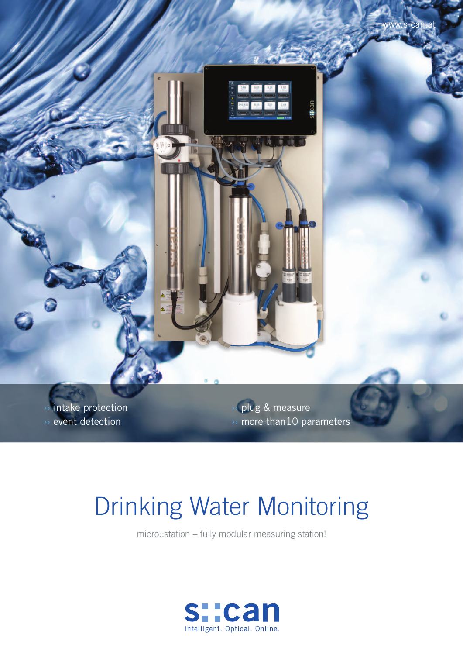

intake protection event detection

›› plug & measure  $\rightarrow$  more than10 parameters

# Drinking Water Monitoring

micro::station – fully modular measuring station!